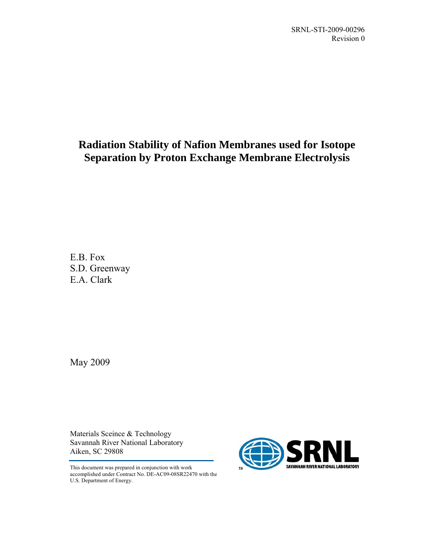## **Radiation Stability of Nafion Membranes used for Isotope Separation by Proton Exchange Membrane Electrolysis**

<span id="page-0-0"></span>E.B. Fox S.D. Greenway E.A. Clark

May 2009

Materials Sceince & Technology Savannah River National Laboratory Aiken, SC 29808

This document was prepared in conjunction with work accomplished under Contract No. DE-AC09-08SR22470 with the U.S. Department of Energy.

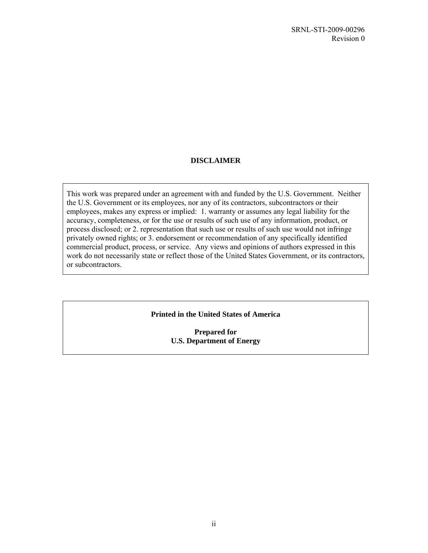### **DISCLAIMER**

This work was prepared under an agreement with and funded by the U.S. Government. Neither the U.S. Government or its employees, nor any of its contractors, subcontractors or their employees, makes any express or implied: 1. warranty or assumes any legal liability for the accuracy, completeness, or for the use or results of such use of any information, product, or process disclosed; or 2. representation that such use or results of such use would not infringe privately owned rights; or 3. endorsement or recommendation of any specifically identified commercial product, process, or service. Any views and opinions of authors expressed in this work do not necessarily state or reflect those of the United States Government, or its contractors, or subcontractors.

### **Printed in the United States of America**

**Prepared for U.S. Department of Energy**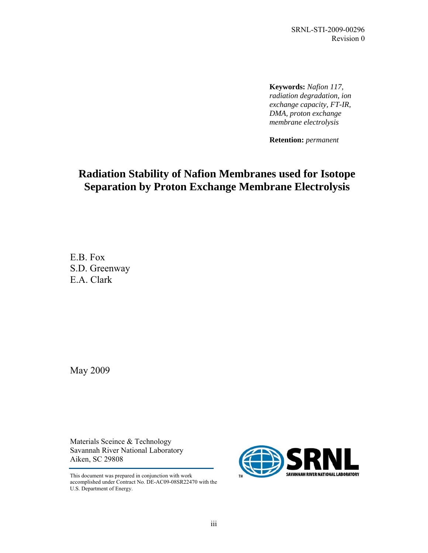**Keywords:** *Nafion 117, radiation degradation, ion exchange capacity, FT-IR, DMA, proton exchange membrane electrolysis*

**Retention:** *permanent* 

## **Radiation Stability of Nafion Membranes used for Isotope Separation by Proton Exchange Membrane Electrolysis**

[E.B. Fox](#page-0-0)  [S](#page-0-0).D. Greenway E.A. Clark

May 2009

Materials Sceince & Technology Savannah River National Laboratory Aiken, SC 29808

This document was prepared in conjunction with work accomplished under Contract No. DE-AC09-08SR22470 with the U.S. Department of Energy.

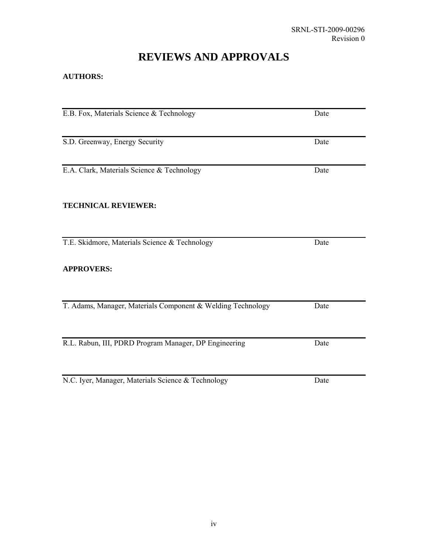# **REVIEWS AND APPROVALS**

### **AUTHORS:**

| E.B. Fox, Materials Science & Technology                    | Date |  |
|-------------------------------------------------------------|------|--|
| S.D. Greenway, Energy Security                              | Date |  |
| E.A. Clark, Materials Science & Technology                  | Date |  |
| <b>TECHNICAL REVIEWER:</b>                                  |      |  |
| T.E. Skidmore, Materials Science & Technology               | Date |  |
| <b>APPROVERS:</b>                                           |      |  |
| T. Adams, Manager, Materials Component & Welding Technology | Date |  |
| R.L. Rabun, III, PDRD Program Manager, DP Engineering       | Date |  |
| N.C. Iyer, Manager, Materials Science & Technology          | Date |  |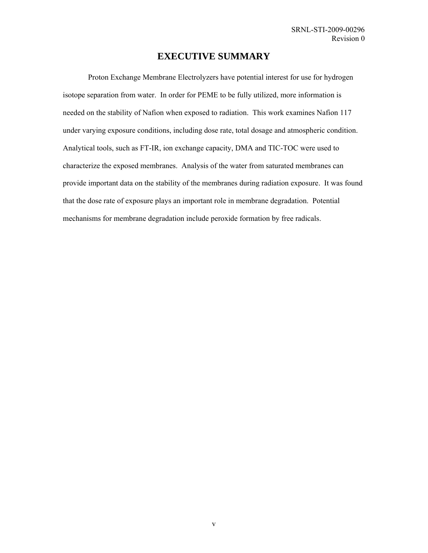### **EXECUTIVE SUMMARY**

Proton Exchange Membrane Electrolyzers have potential interest for use for hydrogen isotope separation from water. In order for PEME to be fully utilized, more information is needed on the stability of Nafion when exposed to radiation. This work examines Nafion 117 under varying exposure conditions, including dose rate, total dosage and atmospheric condition. Analytical tools, such as FT-IR, ion exchange capacity, DMA and TIC-TOC were used to characterize the exposed membranes. Analysis of the water from saturated membranes can provide important data on the stability of the membranes during radiation exposure. It was found that the dose rate of exposure plays an important role in membrane degradation. Potential mechanisms for membrane degradation include peroxide formation by free radicals.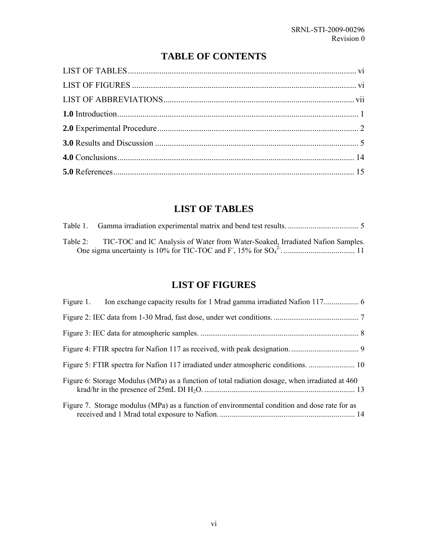## **TABLE OF CONTENTS**

<span id="page-5-0"></span>

## **LIST OF TABLES**

| Table 2: TIC-TOC and IC Analysis of Water from Water-Soaked, Irradiated Nafion Samples. |
|-----------------------------------------------------------------------------------------|
|                                                                                         |

### **LIST OF FIGURES**

| Figure 6: Storage Modulus (MPa) as a function of total radiation dosage, when irradiated at 460 |  |
|-------------------------------------------------------------------------------------------------|--|
| Figure 7. Storage modulus (MPa) as a function of environmental condition and dose rate for as   |  |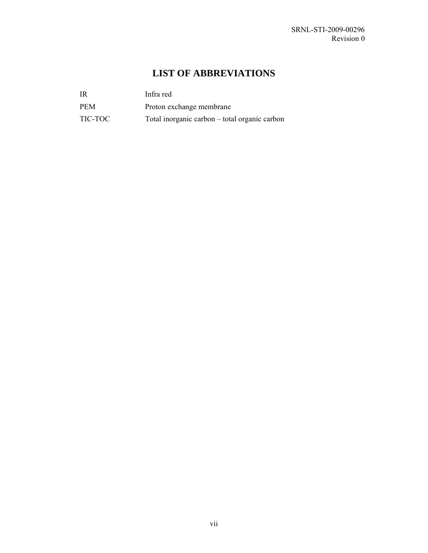## **LIST OF ABBREVIATIONS**

<span id="page-6-0"></span>

| - IR       | Infra red                                     |
|------------|-----------------------------------------------|
| <b>PEM</b> | Proton exchange membrane                      |
| TIC-TOC    | Total inorganic carbon – total organic carbon |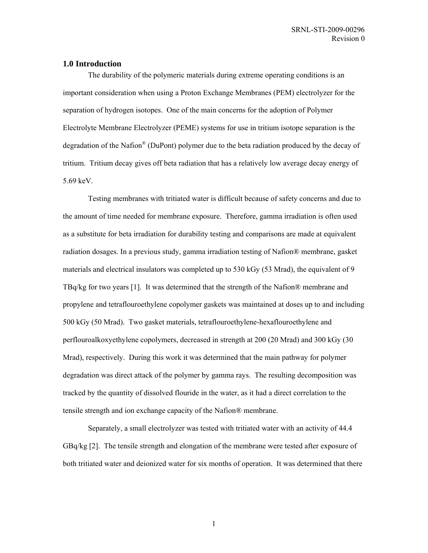#### <span id="page-7-0"></span>**1.0 Introduction**

The durability of the polymeric materials during extreme operating conditions is an important consideration when using a Proton Exchange Membranes (PEM) electrolyzer for the separation of hydrogen isotopes. One of the main concerns for the adoption of Polymer Electrolyte Membrane Electrolyzer (PEME) systems for use in tritium isotope separation is the degradation of the Nafion<sup>®</sup> (DuPont) polymer due to the beta radiation produced by the decay of tritium. Tritium decay gives off beta radiation that has a relatively low average decay energy of 5.69 keV.

Testing membranes with tritiated water is difficult because of safety concerns and due to the amount of time needed for membrane exposure. Therefore, gamma irradiation is often used as a substitute for beta irradiation for durability testing and comparisons are made at equivalent radiation dosages. In a previous study, gamma irradiation testing of Nafion® membrane, gasket materials and electrical insulators was completed up to 530 kGy (53 Mrad), the equivalent of 9 TBq/kg for two years [1]. It was determined that the strength of the Nafion® membrane and propylene and tetraflouroethylene copolymer gaskets was maintained at doses up to and including 500 kGy (50 Mrad). Two gasket materials, tetraflouroethylene-hexaflouroethylene and perflouroalkoxyethylene copolymers, decreased in strength at 200 (20 Mrad) and 300 kGy (30 Mrad), respectively. During this work it was determined that the main pathway for polymer degradation was direct attack of the polymer by gamma rays. The resulting decomposition was tracked by the quantity of dissolved flouride in the water, as it had a direct correlation to the tensile strength and ion exchange capacity of the Nafion® membrane.

Separately, a small electrolyzer was tested with tritiated water with an activity of 44.4 GBq/kg [2]. The tensile strength and elongation of the membrane were tested after exposure of both tritiated water and deionized water for six months of operation. It was determined that there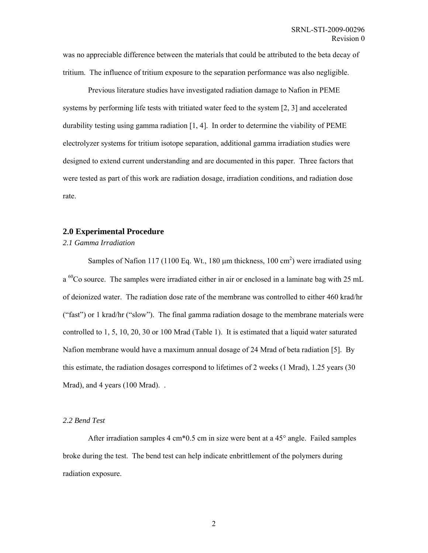<span id="page-8-0"></span>was no appreciable difference between the materials that could be attributed to the beta decay of tritium. The influence of tritium exposure to the separation performance was also negligible.

Previous literature studies have investigated radiation damage to Nafion in PEME systems by performing life tests with tritiated water feed to the system [2, 3] and accelerated durability testing using gamma radiation [1, 4]. In order to determine the viability of PEME electrolyzer systems for tritium isotope separation, additional gamma irradiation studies were designed to extend current understanding and are documented in this paper. Three factors that were tested as part of this work are radiation dosage, irradiation conditions, and radiation dose rate.

#### **2.0 Experimental Procedure**

*2.1 Gamma Irradiation* 

Samples of Nafion 117 (1100 Eq. Wt., 180  $\mu$ m thickness, 100 cm<sup>2</sup>) were irradiated using a <sup>60</sup>Co source. The samples were irradiated either in air or enclosed in a laminate bag with 25 mL of deionized water. The radiation dose rate of the membrane was controlled to either 460 krad/hr ("fast") or 1 krad/hr ("slow"). The final gamma radiation dosage to the membrane materials were controlled to 1, 5, 10, 20, 30 or 100 Mrad ([Table 1\)](#page-11-1). It is estimated that a liquid water saturated Nafion membrane would have a maximum annual dosage of 24 Mrad of beta radiation [5]. By this estimate, the radiation dosages correspond to lifetimes of 2 weeks (1 Mrad), 1.25 years (30 Mrad), and 4 years (100 Mrad)...

#### *2.2 Bend Test*

After irradiation samples 4 cm\*0.5 cm in size were bent at a 45° angle. Failed samples broke during the test. The bend test can help indicate enbrittlement of the polymers during radiation exposure.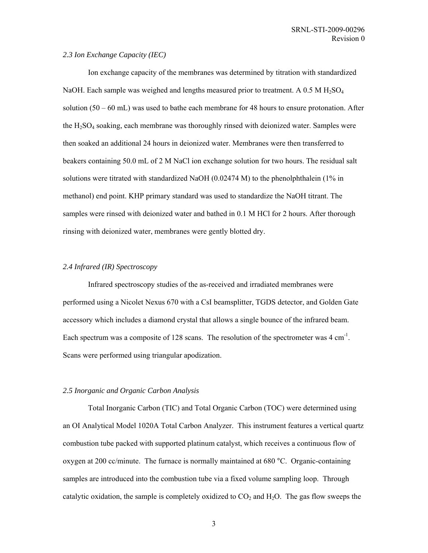#### *2.3 Ion Exchange Capacity (IEC)*

Ion exchange capacity of the membranes was determined by titration with standardized NaOH. Each sample was weighed and lengths measured prior to treatment. A  $0.5 M H<sub>2</sub>SO<sub>4</sub>$ solution  $(50 - 60 \text{ mL})$  was used to bathe each membrane for 48 hours to ensure protonation. After the  $H_2SO_4$  soaking, each membrane was thoroughly rinsed with deionized water. Samples were then soaked an additional 24 hours in deionized water. Membranes were then transferred to beakers containing 50.0 mL of 2 M NaCl ion exchange solution for two hours. The residual salt solutions were titrated with standardized NaOH (0.02474 M) to the phenolphthalein (1% in methanol) end point. KHP primary standard was used to standardize the NaOH titrant. The samples were rinsed with deionized water and bathed in 0.1 M HCl for 2 hours. After thorough rinsing with deionized water, membranes were gently blotted dry.

#### *2.4 Infrared (IR) Spectroscopy*

Infrared spectroscopy studies of the as-received and irradiated membranes were performed using a Nicolet Nexus 670 with a CsI beamsplitter, TGDS detector, and Golden Gate accessory which includes a diamond crystal that allows a single bounce of the infrared beam. Each spectrum was a composite of 128 scans. The resolution of the spectrometer was  $4 \text{ cm}^{-1}$ . Scans were performed using triangular apodization.

#### *2.5 Inorganic and Organic Carbon Analysis*

Total Inorganic Carbon (TIC) and Total Organic Carbon (TOC) were determined using an OI Analytical Model 1020A Total Carbon Analyzer. This instrument features a vertical quartz combustion tube packed with supported platinum catalyst, which receives a continuous flow of oxygen at 200 cc/minute. The furnace is normally maintained at 680 °C. Organic-containing samples are introduced into the combustion tube via a fixed volume sampling loop. Through catalytic oxidation, the sample is completely oxidized to  $CO<sub>2</sub>$  and  $H<sub>2</sub>O$ . The gas flow sweeps the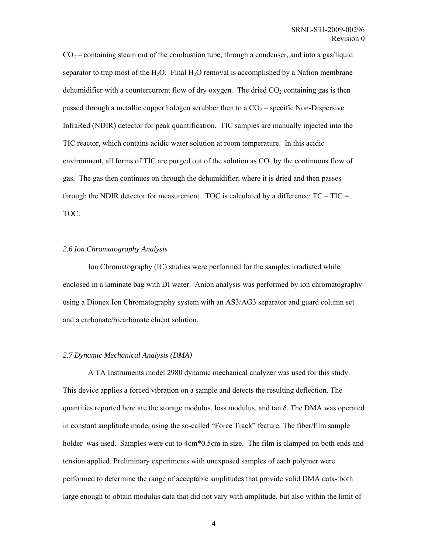$CO<sub>2</sub>$  – containing steam out of the combustion tube, through a condenser, and into a gas/liquid separator to trap most of the  $H_2O$ . Final  $H_2O$  removal is accomplished by a Nafion membrane dehumidifier with a countercurrent flow of dry oxygen. The dried  $CO<sub>2</sub>$  containing gas is then passed through a metallic copper halogen scrubber then to a  $CO<sub>2</sub>$  – specific Non-Dispersive InfraRed (NDIR) detector for peak quantification. TIC samples are manually injected into the TIC reactor, which contains acidic water solution at room temperature. In this acidic environment, all forms of TIC are purged out of the solution as  $CO<sub>2</sub>$  by the continuous flow of gas. The gas then continues on through the dehumidifier, where it is dried and then passes through the NDIR detector for measurement. TOC is calculated by a difference:  $TC - TIC =$ TOC.

#### *2.6 Ion Chromatography Analysis*

Ion Chromatography (IC) studies were performed for the samples irradiated while enclosed in a laminate bag with DI water. Anion analysis was performed by ion chromatography using a Dionex Ion Chromatography system with an AS3/AG3 separator and guard column set and a carbonate/bicarbonate eluent solution.

#### *2.7 Dynamic Mechanical Analysis (DMA)*

A TA Instruments model 2980 dynamic mechanical analyzer was used for this study. This device applies a forced vibration on a sample and detects the resulting deflection. The quantities reported here are the storage modulus, loss modulus, and tan  $\delta$ . The DMA was operated in constant amplitude mode, using the so-called "Force Track" feature. The fiber/film sample holder was used. Samples were cut to  $4cm*0.5cm$  in size. The film is clamped on both ends and tension applied. Preliminary experiments with unexposed samples of each polymer were performed to determine the range of acceptable amplitudes that provide valid DMA data- both large enough to obtain modulus data that did not vary with amplitude, but also within the limit of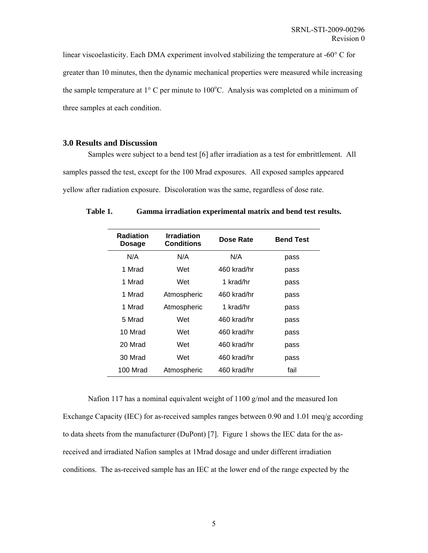<span id="page-11-0"></span>linear viscoelasticity. Each DMA experiment involved stabilizing the temperature at -60° C for greater than 10 minutes, then the dynamic mechanical properties were measured while increasing the sample temperature at  $1^{\circ}$  C per minute to  $100^{\circ}$ C. Analysis was completed on a minimum of three samples at each condition.

#### **3.0 Results and Discussion**

Samples were subject to a bend test [6] after irradiation as a test for embrittlement. All samples passed the test, except for the 100 Mrad exposures. All exposed samples appeared yellow after radiation exposure. Discoloration was the same, regardless of dose rate.

| <b>Radiation</b><br><b>Dosage</b> | <b>Irradiation</b><br>Conditions | Dose Rate   | <b>Bend Test</b> |
|-----------------------------------|----------------------------------|-------------|------------------|
| N/A                               | N/A                              | N/A         | pass             |
| 1 Mrad                            | Wet                              | 460 krad/hr | pass             |
| 1 Mrad                            | Wet                              | 1 krad/hr   | pass             |
| 1 Mrad                            | Atmospheric                      | 460 krad/hr | pass             |
| 1 Mrad                            | Atmospheric                      | 1 krad/hr   | pass             |
| 5 Mrad                            | Wet                              | 460 krad/hr | pass             |
| 10 Mrad                           | Wet                              | 460 krad/hr | pass             |
| 20 Mrad                           | Wet                              | 460 krad/hr | pass             |
| 30 Mrad                           | Wet                              | 460 krad/hr | pass             |
| 100 Mrad                          | Atmospheric                      | 460 krad/hr | fail             |
|                                   |                                  |             |                  |

<span id="page-11-1"></span>**Table 1. Gamma irradiation experimental matrix and bend test results.**

Nafion 117 has a nominal equivalent weight of 1100 g/mol and the measured Ion Exchange Capacity (IEC) for as-received samples ranges between 0.90 and 1.01 meq/g according to data sheets from the manufacturer (DuPont) [7]. [Figure 1](#page-12-1) shows the IEC data for the asreceived and irradiated Nafion samples at 1Mrad dosage and under different irradiation conditions. The as-received sample has an IEC at the lower end of the range expected by the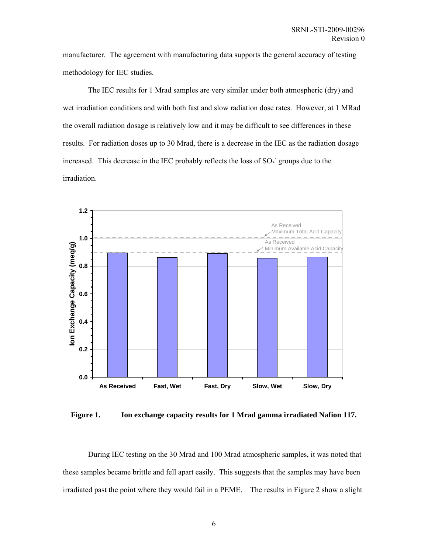<span id="page-12-0"></span>manufacturer. The agreement with manufacturing data supports the general accuracy of testing methodology for IEC studies.

The IEC results for 1 Mrad samples are very similar under both atmospheric (dry) and wet irradiation conditions and with both fast and slow radiation dose rates. However, at 1 MRad the overall radiation dosage is relatively low and it may be difficult to see differences in these results. For radiation doses up to 30 Mrad, there is a decrease in the IEC as the radiation dosage increased. This decrease in the IEC probably reflects the loss of  $SO<sub>3</sub>$  groups due to the irradiation.

<span id="page-12-1"></span>

**Figure 1. Ion exchange capacity results for 1 Mrad gamma irradiated Nafion 117.** 

During IEC testing on the 30 Mrad and 100 Mrad atmospheric samples, it was noted that these samples became brittle and fell apart easily. This suggests that the samples may have been irradiated past the point where they would fail in a PEME. The results in [Figure 2](#page-13-1) show a slight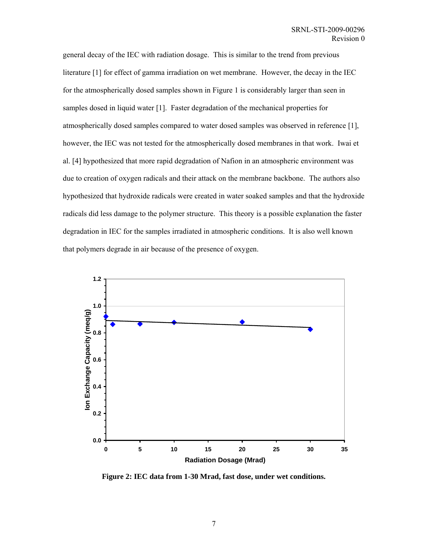<span id="page-13-0"></span>general decay of the IEC with radiation dosage. This is similar to the trend from previous literature [1] for effect of gamma irradiation on wet membrane. However, the decay in the IEC for the atmospherically dosed samples shown in [Figure 1](#page-12-1) is considerably larger than seen in samples dosed in liquid water [1]. Faster degradation of the mechanical properties for atmospherically dosed samples compared to water dosed samples was observed in reference [1], however, the IEC was not tested for the atmospherically dosed membranes in that work. Iwai et al. [4] hypothesized that more rapid degradation of Nafion in an atmospheric environment was due to creation of oxygen radicals and their attack on the membrane backbone. The authors also hypothesized that hydroxide radicals were created in water soaked samples and that the hydroxide radicals did less damage to the polymer structure. This theory is a possible explanation the faster degradation in IEC for the samples irradiated in atmospheric conditions. It is also well known that polymers degrade in air because of the presence of oxygen.

<span id="page-13-1"></span>

**Figure 2: IEC data from 1-30 Mrad, fast dose, under wet conditions.**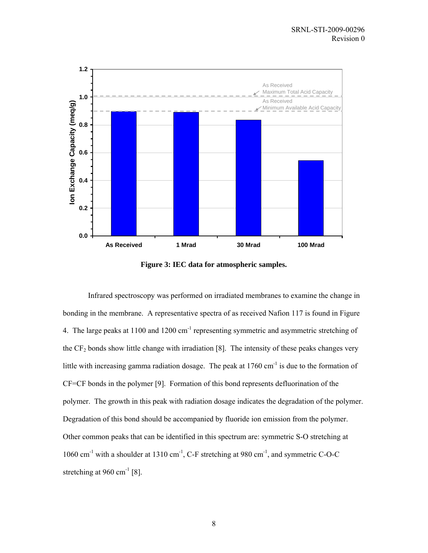<span id="page-14-0"></span>

**Figure 3: IEC data for atmospheric samples.** 

Infrared spectroscopy was performed on irradiated membranes to examine the change in bonding in the membrane. A representative spectra of as received Nafion 117 is found in [Figure](#page-15-1)  [4.](#page-15-1) The large peaks at 1100 and 1200 cm<sup>-1</sup> representing symmetric and asymmetric stretching of the  $CF<sub>2</sub>$  bonds show little change with irradiation [8]. The intensity of these peaks changes very little with increasing gamma radiation dosage. The peak at  $1760 \text{ cm}^{-1}$  is due to the formation of CF=CF bonds in the polymer [9]. Formation of this bond represents defluorination of the polymer. The growth in this peak with radiation dosage indicates the degradation of the polymer. Degradation of this bond should be accompanied by fluoride ion emission from the polymer. Other common peaks that can be identified in this spectrum are: symmetric S-O stretching at 1060 cm<sup>-1</sup> with a shoulder at 1310 cm<sup>-1</sup>, C-F stretching at 980 cm<sup>-1</sup>, and symmetric C-O-C stretching at 960 cm<sup>-1</sup> [8].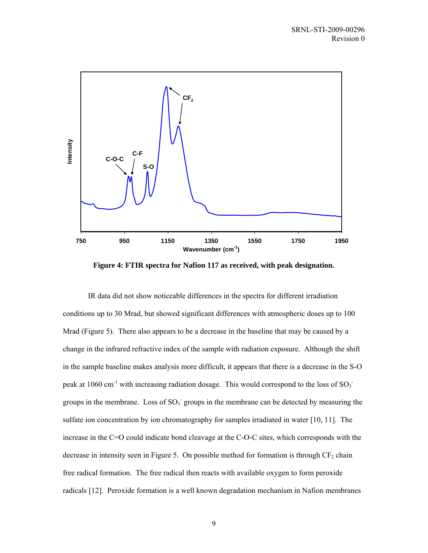<span id="page-15-1"></span><span id="page-15-0"></span>

**Figure 4: FTIR spectra for Nafion 117 as received, with peak designation.** 

IR data did not show noticeable differences in the spectra for different irradiation conditions up to 30 Mrad, but showed significant differences with atmospheric doses up to 100 Mrad ([Figure 5\)](#page-16-1). There also appears to be a decrease in the baseline that may be caused by a change in the infrared refractive index of the sample with radiation exposure. Although the shift in the sample baseline makes analysis more difficult, it appears that there is a decrease in the S-O peak at 1060 cm<sup>-1</sup> with increasing radiation dosage. This would correspond to the loss of SO<sub>3</sub><sup>-</sup> groups in the membrane. Loss of  $SO_3$  groups in the membrane can be detected by measuring the sulfate ion concentration by ion chromatography for samples irradiated in water [10, 11]. The increase in the C=O could indicate bond cleavage at the C-O-C sites, which corresponds with the decrease in intensity seen in [Figure 5.](#page-16-1) On possible method for formation is through  $CF<sub>2</sub>$  chain free radical formation. The free radical then reacts with available oxygen to form peroxide radicals [12]. Peroxide formation is a well known degradation mechanism in Nafion membranes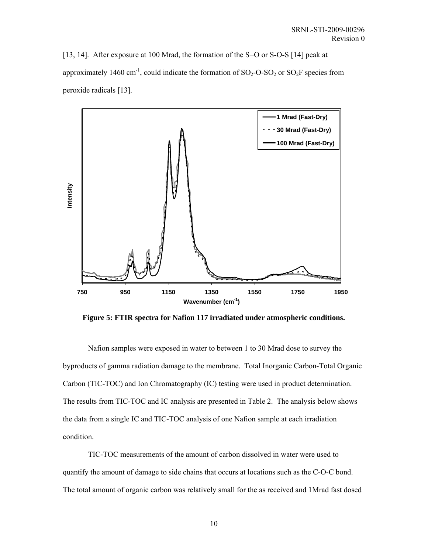<span id="page-16-0"></span>[13, 14]. After exposure at 100 Mrad, the formation of the S=O or S-O-S [14] peak at approximately 1460 cm<sup>-1</sup>, could indicate the formation of  $SO_2$ -O-SO<sub>2</sub> or SO<sub>2</sub>F species from peroxide radicals [13].

<span id="page-16-1"></span>

**Figure 5: FTIR spectra for Nafion 117 irradiated under atmospheric conditions.** 

Nafion samples were exposed in water to between 1 to 30 Mrad dose to survey the byproducts of gamma radiation damage to the membrane. Total Inorganic Carbon-Total Organic Carbon (TIC-TOC) and Ion Chromatography (IC) testing were used in product determination. The results from TIC-TOC and IC analysis are presented in [Table 2.](#page-17-1) The analysis below shows the data from a single IC and TIC-TOC analysis of one Nafion sample at each irradiation condition.

TIC-TOC measurements of the amount of carbon dissolved in water were used to quantify the amount of damage to side chains that occurs at locations such as the C-O-C bond. The total amount of organic carbon was relatively small for the as received and 1Mrad fast dosed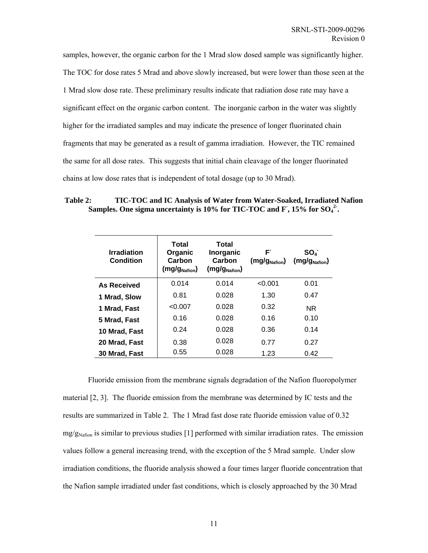<span id="page-17-0"></span>samples, however, the organic carbon for the 1 Mrad slow dosed sample was significantly higher. The TOC for dose rates 5 Mrad and above slowly increased, but were lower than those seen at the 1 Mrad slow dose rate. These preliminary results indicate that radiation dose rate may have a significant effect on the organic carbon content. The inorganic carbon in the water was slightly higher for the irradiated samples and may indicate the presence of longer fluorinated chain fragments that may be generated as a result of gamma irradiation. However, the TIC remained the same for all dose rates. This suggests that initial chain cleavage of the longer fluorinated chains at low dose rates that is independent of total dosage (up to 30 Mrad).

<span id="page-17-1"></span>**Table 2: TIC-TOC and IC Analysis of Water from Water-Soaked, Irradiated Nafion**  Samples. One sigma uncertainty is 10% for TIC-TOC and F, 15% for SO<sub>4</sub><sup>2</sup>.

| <b>Irradiation</b><br>Condition | Total<br>Organic<br>Carbon<br>(mg/g <sub>Nafion</sub> ) | Total<br>Inorganic<br>Carbon<br>(mg/g <sub>Nafion</sub> ) | F<br>(mg/g <sub>Nafion</sub> ) | $SO_4$<br>(mg/g <sub>Nafion</sub> ) |
|---------------------------------|---------------------------------------------------------|-----------------------------------------------------------|--------------------------------|-------------------------------------|
| <b>As Received</b>              | 0.014                                                   | 0.014                                                     | < 0.001                        | 0.01                                |
| 1 Mrad, Slow                    | 0.81                                                    | 0.028                                                     | 1.30                           | 0.47                                |
| 1 Mrad, Fast                    | < 0.007                                                 | 0.028                                                     | 0.32                           | NR.                                 |
| 5 Mrad, Fast                    | 0.16                                                    | 0.028                                                     | 0.16                           | 0.10                                |
| 10 Mrad, Fast                   | 0.24                                                    | 0.028                                                     | 0.36                           | 0.14                                |
| 20 Mrad, Fast                   | 0.38                                                    | 0.028                                                     | 0.77                           | 0.27                                |
| 30 Mrad, Fast                   | 0.55                                                    | 0.028                                                     | 1.23                           | 0.42                                |

Fluoride emission from the membrane signals degradation of the Nafion fluoropolymer material [2, 3]. The fluoride emission from the membrane was determined by IC tests and the results are summarized in [Table 2.](#page-17-1) The 1 Mrad fast dose rate fluoride emission value of 0.32  $mg/g<sub>Nafion</sub>$  is similar to previous studies [1] performed with similar irradiation rates. The emission values follow a general increasing trend, with the exception of the 5 Mrad sample. Under slow irradiation conditions, the fluoride analysis showed a four times larger fluoride concentration that the Nafion sample irradiated under fast conditions, which is closely approached by the 30 Mrad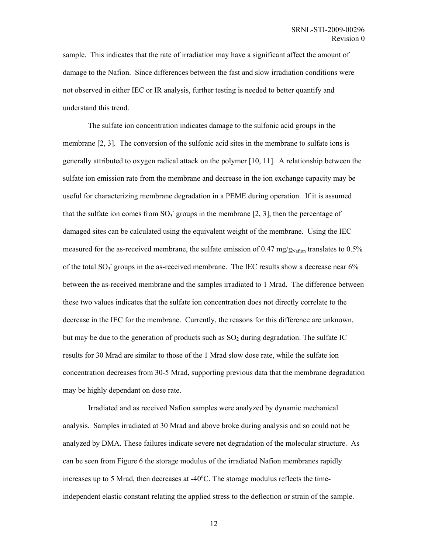sample. This indicates that the rate of irradiation may have a significant affect the amount of damage to the Nafion. Since differences between the fast and slow irradiation conditions were not observed in either IEC or IR analysis, further testing is needed to better quantify and understand this trend.

The sulfate ion concentration indicates damage to the sulfonic acid groups in the membrane [2, 3]. The conversion of the sulfonic acid sites in the membrane to sulfate ions is generally attributed to oxygen radical attack on the polymer [10, 11]. A relationship between the sulfate ion emission rate from the membrane and decrease in the ion exchange capacity may be useful for characterizing membrane degradation in a PEME during operation. If it is assumed that the sulfate ion comes from  $SO_3$  groups in the membrane [2, 3], then the percentage of damaged sites can be calculated using the equivalent weight of the membrane. Using the IEC measured for the as-received membrane, the sulfate emission of 0.47 mg/ $g_{\text{Nafion}}$  translates to 0.5% of the total  $SO_3$  groups in the as-received membrane. The IEC results show a decrease near  $6\%$ between the as-received membrane and the samples irradiated to 1 Mrad. The difference between these two values indicates that the sulfate ion concentration does not directly correlate to the decrease in the IEC for the membrane. Currently, the reasons for this difference are unknown, but may be due to the generation of products such as  $SO<sub>2</sub>$  during degradation. The sulfate IC results for 30 Mrad are similar to those of the 1 Mrad slow dose rate, while the sulfate ion concentration decreases from 30-5 Mrad, supporting previous data that the membrane degradation may be highly dependant on dose rate.

Irradiated and as received Nafion samples were analyzed by dynamic mechanical analysis. Samples irradiated at 30 Mrad and above broke during analysis and so could not be analyzed by DMA. These failures indicate severe net degradation of the molecular structure. As can be seen from [Figure 6](#page-19-1) the storage modulus of the irradiated Nafion membranes rapidly increases up to 5 Mrad, then decreases at  $-40^{\circ}$ C. The storage modulus reflects the timeindependent elastic constant relating the applied stress to the deflection or strain of the sample.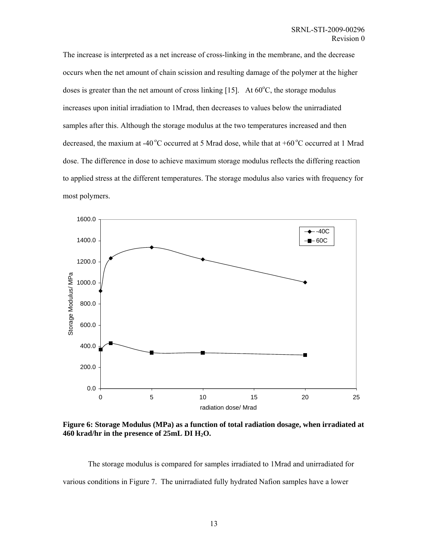<span id="page-19-0"></span>The increase is interpreted as a net increase of cross-linking in the membrane, and the decrease occurs when the net amount of chain scission and resulting damage of the polymer at the higher doses is greater than the net amount of cross linking [15]. At  $60^{\circ}$ C, the storage modulus increases upon initial irradiation to 1Mrad, then decreases to values below the unirradiated samples after this. Although the storage modulus at the two temperatures increased and then decreased, the maxium at -40 °C occurred at 5 Mrad dose, while that at +60 °C occurred at 1 Mrad dose. The difference in dose to achieve maximum storage modulus reflects the differing reaction to applied stress at the different temperatures. The storage modulus also varies with frequency for most polymers.

<span id="page-19-1"></span>

**Figure 6: Storage Modulus (MPa) as a function of total radiation dosage, when irradiated at 460 krad/hr in the presence of 25mL DI H2O.** 

The storage modulus is compared for samples irradiated to 1Mrad and unirradiated for various conditions in [Figure 7.](#page-20-1) The unirradiated fully hydrated Nafion samples have a lower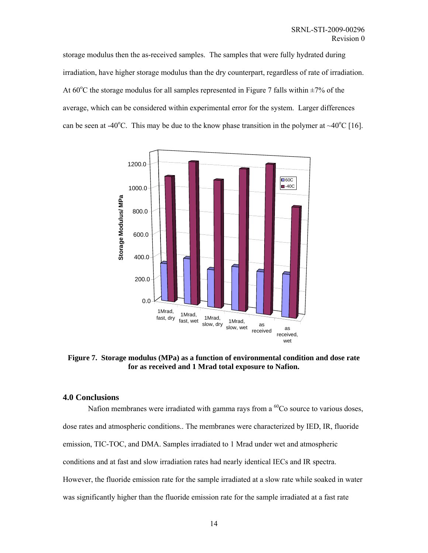<span id="page-20-0"></span>storage modulus then the as-received samples. The samples that were fully hydrated during irradiation, have higher storage modulus than the dry counterpart, regardless of rate of irradiation. At  $60^{\circ}$ C the storage modulus for all samples represented in [Figure 7](#page-20-1) falls within  $\pm 7\%$  of the average, which can be considered within experimental error for the system. Larger differences can be seen at -40<sup>o</sup>C. This may be due to the know phase transition in the polymer at  $\sim$ 40<sup>o</sup>C [16].

<span id="page-20-1"></span>

**Figure 7. Storage modulus (MPa) as a function of environmental condition and dose rate for as received and 1 Mrad total exposure to Nafion.** 

#### **4.0 Conclusions**

Nafion membranes were irradiated with gamma rays from a  $^{60}$ Co source to various doses, dose rates and atmospheric conditions.. The membranes were characterized by IED, IR, fluoride emission, TIC-TOC, and DMA. Samples irradiated to 1 Mrad under wet and atmospheric conditions and at fast and slow irradiation rates had nearly identical IECs and IR spectra. However, the fluoride emission rate for the sample irradiated at a slow rate while soaked in water was significantly higher than the fluoride emission rate for the sample irradiated at a fast rate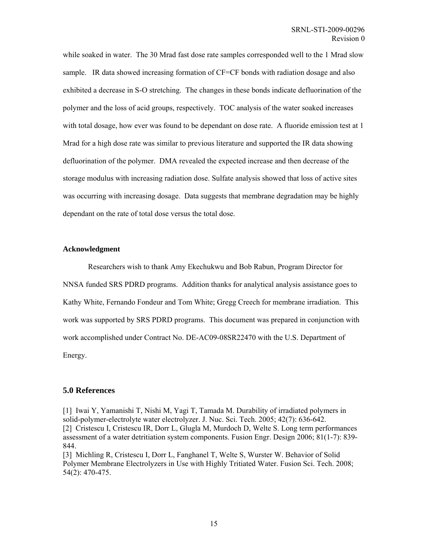<span id="page-21-0"></span>while soaked in water. The 30 Mrad fast dose rate samples corresponded well to the 1 Mrad slow sample. IR data showed increasing formation of CF=CF bonds with radiation dosage and also exhibited a decrease in S-O stretching. The changes in these bonds indicate defluorination of the polymer and the loss of acid groups, respectively. TOC analysis of the water soaked increases with total dosage, how ever was found to be dependant on dose rate. A fluoride emission test at 1 Mrad for a high dose rate was similar to previous literature and supported the IR data showing defluorination of the polymer. DMA revealed the expected increase and then decrease of the storage modulus with increasing radiation dose. Sulfate analysis showed that loss of active sites was occurring with increasing dosage. Data suggests that membrane degradation may be highly dependant on the rate of total dose versus the total dose.

#### **Acknowledgment**

Researchers wish to thank Amy Ekechukwu and Bob Rabun, Program Director for NNSA funded SRS PDRD programs. Addition thanks for analytical analysis assistance goes to Kathy White, Fernando Fondeur and Tom White; Gregg Creech for membrane irradiation. This work was supported by SRS PDRD programs. This document was prepared in conjunction with work accomplished under Contract No. DE-AC09-08SR22470 with the U.S. Department of Energy.

#### **5.0 References**

[1] Iwai Y, Yamanishi T, Nishi M, Yagi T, Tamada M. Durability of irradiated polymers in solid-polymer-electrolyte water electrolyzer. J. Nuc. Sci. Tech. 2005; 42(7): 636-642. [2] Cristescu I, Cristescu IR, Dorr L, Glugla M, Murdoch D, Welte S. Long term performances assessment of a water detritiation system components. Fusion Engr. Design 2006; 81(1-7): 839- 844.

[3] Michling R, Cristescu I, Dorr L, Fanghanel T, Welte S, Wurster W. Behavior of Solid Polymer Membrane Electrolyzers in Use with Highly Tritiated Water. Fusion Sci. Tech. 2008; 54(2): 470-475.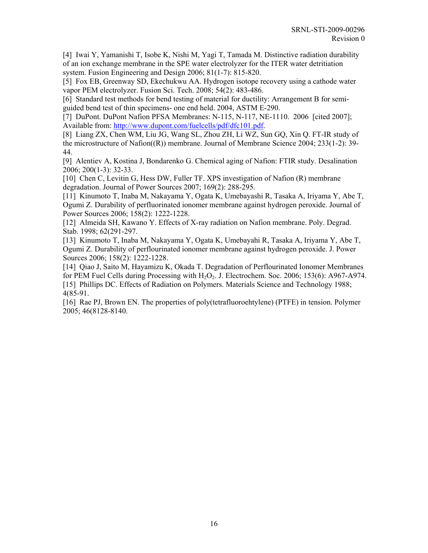[4] Iwai Y, Yamanishi T, Isobe K, Nishi M, Yagi T, Tamada M. Distinctive radiation durability of an ion exchange membrane in the SPE water electrolyzer for the ITER water detritiation system. Fusion Engineering and Design 2006; 81(1-7): 815-820.

[5] Fox EB, Greenway SD, Ekechukwu AA. Hydrogen isotope recovery using a cathode water vapor PEM electrolyzer. Fusion Sci. Tech. 2008; 54(2): 483-486.

[6] Standard test methods for bend testing of material for ductility: Arrangement B for semiguided bend test of thin specimens- one end held. 2004, ASTM E-290.

[7] DuPont. DuPont Nafion PFSA Membranes: N-115, N-117, NE-1110. 2006 [cited 2007]; Available from: [http://www.dupont.com/fuelcells/pdf/dfc101.pdf.](http://www.dupont.com/fuelcells/pdf/dfc101.pdf)

[8] Liang ZX, Chen WM, Liu JG, Wang SL, Zhou ZH, Li WZ, Sun GQ, Xin Q. FT-IR study of the microstructure of Nafion((R)) membrane. Journal of Membrane Science 2004; 233(1-2): 39- 44.

[9] Alentiev A, Kostina J, Bondarenko G. Chemical aging of Nafion: FTIR study. Desalination 2006; 200(1-3): 32-33.

[10] Chen C, Levitin G, Hess DW, Fuller TF. XPS investigation of Nafion (R) membrane degradation. Journal of Power Sources 2007; 169(2): 288-295.

[11] Kinumoto T, Inaba M, Nakayama Y, Ogata K, Umebayashi R, Tasaka A, Iriyama Y, Abe T, Ogumi Z. Durability of perfluorinated ionomer membrane against hydrogen peroxide. Journal of Power Sources 2006; 158(2): 1222-1228.

[12] Almeida SH, Kawano Y. Effects of X-ray radiation on Nafion membrane. Poly. Degrad. Stab. 1998; 62(291-297.

[13] Kinumoto T, Inaba M, Nakayama Y, Ogata K, Umebayahi R, Tasaka A, Iriyama Y, Abe T, Ogumi Z. Durability of perflourinated ionomer membrane against hydrogen peroxide. J. Power Sources 2006; 158(2): 1222-1228.

[14] Qiao J, Saito M, Hayamizu K, Okada T. Degradation of Perflourinated Ionomer Membranes for PEM Fuel Cells during Processing with  $H_2O_2$ . J. Electrochem. Soc. 2006; 153(6): A967-A974. [15] Phillips DC. Effects of Radiation on Polymers. Materials Science and Technology 1988; 4(85-91.

[16] Rae PJ, Brown EN. The properties of poly(tetrafluoroehtylene) (PTFE) in tension. Polymer 2005; 46(8128-8140.